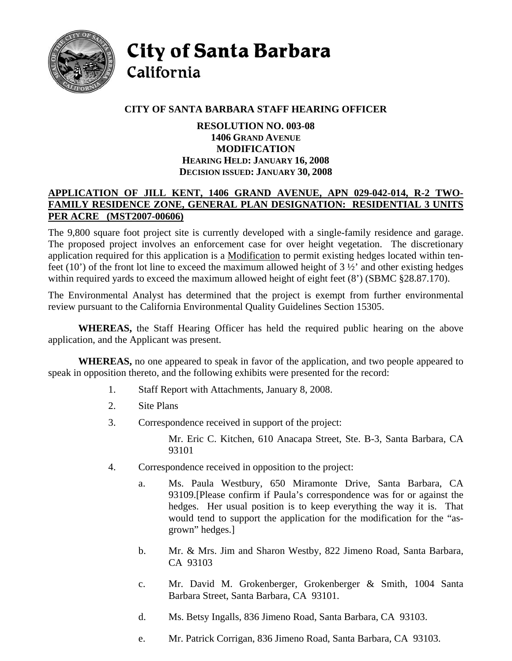

City of Santa Barbara California

# **CITY OF SANTA BARBARA STAFF HEARING OFFICER**

### **RESOLUTION NO. 003-08 1406 GRAND AVENUE MODIFICATION HEARING HELD: JANUARY 16, 2008 DECISION ISSUED: JANUARY 30, 2008**

#### **APPLICATION OF JILL KENT, 1406 GRAND AVENUE, APN 029-042-014, R-2 TWO-FAMILY RESIDENCE ZONE, GENERAL PLAN DESIGNATION: RESIDENTIAL 3 UNITS PER ACRE (MST2007-00606)**

The 9,800 square foot project site is currently developed with a single-family residence and garage. The proposed project involves an enforcement case for over height vegetation. The discretionary application required for this application is a Modification to permit existing hedges located within tenfeet (10') of the front lot line to exceed the maximum allowed height of  $3\frac{1}{2}$  and other existing hedges within required yards to exceed the maximum allowed height of eight feet  $(8')$  (SBMC §28.87.170).

The Environmental Analyst has determined that the project is exempt from further environmental review pursuant to the California Environmental Quality Guidelines Section 15305.

**WHEREAS,** the Staff Hearing Officer has held the required public hearing on the above application, and the Applicant was present.

**WHEREAS,** no one appeared to speak in favor of the application, and two people appeared to speak in opposition thereto, and the following exhibits were presented for the record:

- 1. Staff Report with Attachments, January 8, 2008.
- 2. Site Plans
- 3. Correspondence received in support of the project:

 Mr. Eric C. Kitchen, 610 Anacapa Street, Ste. B-3, Santa Barbara, CA 93101

- 4. Correspondence received in opposition to the project:
	- a. Ms. Paula Westbury, 650 Miramonte Drive, Santa Barbara, CA 93109.[Please confirm if Paula's correspondence was for or against the hedges. Her usual position is to keep everything the way it is. That would tend to support the application for the modification for the "asgrown" hedges.]
	- b. Mr. & Mrs. Jim and Sharon Westby, 822 Jimeno Road, Santa Barbara, CA 93103
	- c. Mr. David M. Grokenberger, Grokenberger & Smith, 1004 Santa Barbara Street, Santa Barbara, CA 93101.
	- d. Ms. Betsy Ingalls, 836 Jimeno Road, Santa Barbara, CA 93103.
	- e. Mr. Patrick Corrigan, 836 Jimeno Road, Santa Barbara, CA 93103.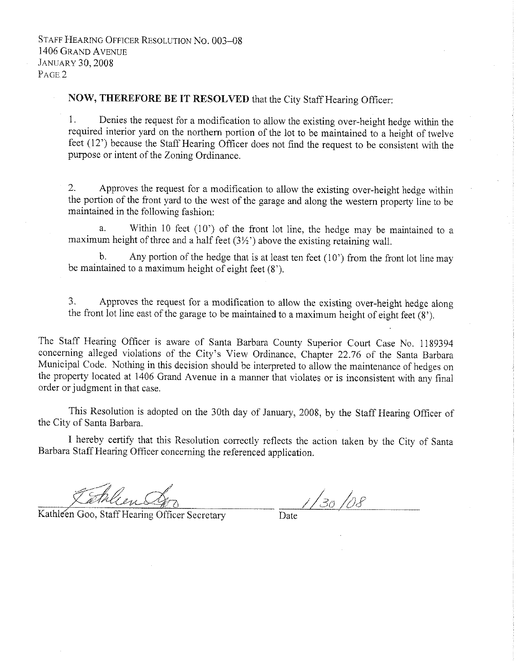## NOW, THEREFORE BE IT RESOLVED that the City Staff Hearing Officer:

1. Denies the request for a modification to allow the existing over-height hedge within the required interior yard on the northern portion of the lot to be maintained to a height of twelve feet (12<sup>°</sup>) because the Staff Hearing Officer does not find the request to be consistent with the purpose or intent of the Zoning Ordinance.

 $2.$ Approves the request for a modification to allow the existing over-height hedge within the portion of the front yard to the west of the garage and along the western property line to be maintained in the following fashion:

Within 10 feet  $(10)$  of the front lot line, the hedge may be maintained to a  $\mathbf{a}$ maximum height of three and a half feet  $(3\frac{1}{2})$  above the existing retaining wall.

Any portion of the hedge that is at least ten feet  $(10')$  from the front lot line may  $h_{\alpha}$ be maintained to a maximum height of eight feet  $(8')$ .

3. Approves the request for a modification to allow the existing over-height hedge along the front lot line east of the garage to be maintained to a maximum height of eight feet  $(8)$ .

The Staff Hearing Officer is aware of Santa Barbara County Superior Court Case No. 1189394 concerning alleged violations of the City's View Ordinance, Chapter 22.76 of the Santa Barbara Municipal Code. Nothing in this decision should be interpreted to allow the maintenance of hedges on the property located at 1406 Grand Avenue in a manner that violates or is inconsistent with any final order or judgment in that case.

This Resolution is adopted on the 30th day of January, 2008, by the Staff Hearing Officer of the City of Santa Barbara.

I hereby certify that this Resolution correctly reflects the action taken by the City of Santa Barbara Staff Hearing Officer concerning the referenced application.

Kathleen Goo, Staff Hearing Officer Secretary

 $1/30/08$ Date